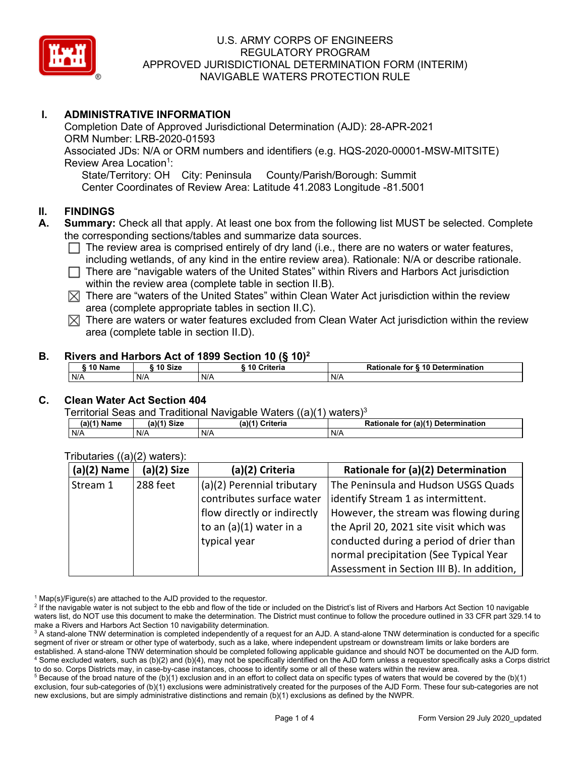

## **I. ADMINISTRATIVE INFORMATION**

Completion Date of Approved Jurisdictional Determination (AJD): 28-APR-2021 ORM Number: LRB-2020-01593 Associated JDs: N/A or ORM numbers and identifiers (e.g. HQS-2020-00001-MSW-MITSITE) Review Area Location<sup>1</sup>: State/Territory: OH City: Peninsula County/Parish/Borough: Summit

Center Coordinates of Review Area: Latitude 41.2083 Longitude -81.5001

### **II. FINDINGS**

- **A. Summary:** Check all that apply. At least one box from the following list MUST be selected. Complete the corresponding sections/tables and summarize data sources.
	- $\Box$  The review area is comprised entirely of dry land (i.e., there are no waters or water features, including wetlands, of any kind in the entire review area). Rationale: N/A or describe rationale.
	- $\Box$  There are "navigable waters of the United States" within Rivers and Harbors Act jurisdiction within the review area (complete table in section II.B).
	- $\boxtimes$  There are "waters of the United States" within Clean Water Act jurisdiction within the review area (complete appropriate tables in section II.C).
	- $\boxtimes$  There are waters or water features excluded from Clean Water Act jurisdiction within the review area (complete table in section II.D).

#### **B. Rivers and Harbors Act of 1899 Section 10 (§ 10)2**

| 10 Name | 10 Size | 10 Criteria | Rationale for § 10 Determination |
|---------|---------|-------------|----------------------------------|
| N/A     | N/A     | N/A         | N/A                              |

### **C. Clean Water Act Section 404**

Territorial Seas and Traditional Navigable Waters  $((a)(1)$  waters)<sup>3</sup>

| (a)(1) Name | <sup>∴</sup> Size<br>(a) | $(a)$ <sup><math>(4)</math></sup><br>∖ Criteria | (a)(1) Determination<br><b>Rationale</b><br>for |
|-------------|--------------------------|-------------------------------------------------|-------------------------------------------------|
| N/A         | N/A                      | N/A                                             | N/A                                             |

| $(a)(2)$ Name | $(a)(2)$ Size | (a)(2) Criteria             | Rationale for (a)(2) Determination         |
|---------------|---------------|-----------------------------|--------------------------------------------|
| Stream 1      | 288 feet      | (a)(2) Perennial tributary  | The Peninsula and Hudson USGS Quads        |
|               |               | contributes surface water   | identify Stream 1 as intermittent.         |
|               |               | flow directly or indirectly | However, the stream was flowing during     |
|               |               | to an $(a)(1)$ water in a   | the April 20, 2021 site visit which was    |
|               |               | typical year                | conducted during a period of drier than    |
|               |               |                             | normal precipitation (See Typical Year     |
|               |               |                             | Assessment in Section III B). In addition, |

### Tributaries ((a)(2) waters):

 $1$  Map(s)/Figure(s) are attached to the AJD provided to the requestor.

 $5$  Because of the broad nature of the (b)(1) exclusion and in an effort to collect data on specific types of waters that would be covered by the (b)(1) exclusion, four sub-categories of (b)(1) exclusions were administratively created for the purposes of the AJD Form. These four sub-categories are not new exclusions, but are simply administrative distinctions and remain (b)(1) exclusions as defined by the NWPR.

<sup>&</sup>lt;sup>2</sup> If the navigable water is not subject to the ebb and flow of the tide or included on the District's list of Rivers and Harbors Act Section 10 navigable waters list, do NOT use this document to make the determination. The District must continue to follow the procedure outlined in 33 CFR part 329.14 to make a Rivers and Harbors Act Section 10 navigability determination.

<sup>&</sup>lt;sup>3</sup> A stand-alone TNW determination is completed independently of a request for an AJD. A stand-alone TNW determination is conducted for a specific segment of river or stream or other type of waterbody, such as a lake, where independent upstream or downstream limits or lake borders are established. A stand-alone TNW determination should be completed following applicable guidance and should NOT be documented on the AJD form. <sup>4</sup> Some excluded waters, such as (b)(2) and (b)(4), may not be specifically identified on the AJD form unless a requestor specifically asks a Corps district to do so. Corps Districts may, in case-by-case instances, choose to identify some or all of these waters within the review area.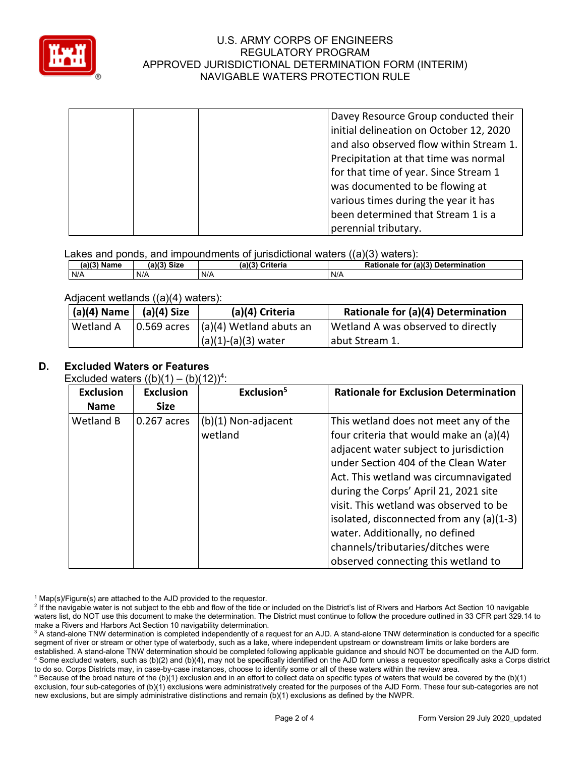

|  | Davey Resource Group conducted their    |
|--|-----------------------------------------|
|  | initial delineation on October 12, 2020 |
|  | and also observed flow within Stream 1. |
|  | Precipitation at that time was normal   |
|  | for that time of year. Since Stream 1   |
|  | was documented to be flowing at         |
|  | various times during the year it has    |
|  | been determined that Stream 1 is a      |
|  | perennial tributary.                    |

Lakes and ponds, and impoundments of jurisdictional waters ((a)(3) waters):

| $(a)$ $(2)$<br><b>Name</b> | (a)(?')<br>Size | (a)(3)<br>Criteria | <b>Rationale</b><br>$($ a) $(3)$<br>Determination<br>tor |
|----------------------------|-----------------|--------------------|----------------------------------------------------------|
| N/A                        | N/A             | N/A                | N/A                                                      |

### Adjacent wetlands ((a)(4) waters):

| $\vert$ (a)(4) Name | $(a)(4)$ Size | (a)(4) Criteria                                     | Rationale for (a)(4) Determination |
|---------------------|---------------|-----------------------------------------------------|------------------------------------|
| Wetland A           |               | $\vert$ 0.569 acres $\vert$ (a)(4) Wetland abuts an | Wetland A was observed to directly |
|                     |               | $(a)(1)-(a)(3)$ water                               | abut Stream 1.                     |

## **D. Excluded Waters or Features**

Excluded waters  $((b)(1) - (b)(12))^4$ :

| <b>Exclusion</b> | $\sim$ $\sim$ $\sim$ $\sim$<br><b>Exclusion</b> | $\sim$ $\prime$ $\sim$ $\prime$ $\prime$ $\sim$<br>Exclusion <sup>5</sup> | <b>Rationale for Exclusion Determination</b>                                                                                                                                                                                                                                                                                                                                                                                                              |
|------------------|-------------------------------------------------|---------------------------------------------------------------------------|-----------------------------------------------------------------------------------------------------------------------------------------------------------------------------------------------------------------------------------------------------------------------------------------------------------------------------------------------------------------------------------------------------------------------------------------------------------|
| <b>Name</b>      | <b>Size</b>                                     |                                                                           |                                                                                                                                                                                                                                                                                                                                                                                                                                                           |
| Wetland B        | 0.267 acres                                     | $(b)(1)$ Non-adjacent<br>wetland                                          | This wetland does not meet any of the<br>four criteria that would make an (a)(4)<br>adjacent water subject to jurisdiction<br>under Section 404 of the Clean Water<br>Act. This wetland was circumnavigated<br>during the Corps' April 21, 2021 site<br>visit. This wetland was observed to be<br>isolated, disconnected from any (a)(1-3)<br>water. Additionally, no defined<br>channels/tributaries/ditches were<br>observed connecting this wetland to |

 $1$  Map(s)/Figure(s) are attached to the AJD provided to the requestor.

<sup>5</sup> Because of the broad nature of the (b)(1) exclusion and in an effort to collect data on specific types of waters that would be covered by the (b)(1) exclusion, four sub-categories of (b)(1) exclusions were administratively created for the purposes of the AJD Form. These four sub-categories are not new exclusions, but are simply administrative distinctions and remain (b)(1) exclusions as defined by the NWPR.

<sup>&</sup>lt;sup>2</sup> If the navigable water is not subject to the ebb and flow of the tide or included on the District's list of Rivers and Harbors Act Section 10 navigable waters list, do NOT use this document to make the determination. The District must continue to follow the procedure outlined in 33 CFR part 329.14 to make a Rivers and Harbors Act Section 10 navigability determination.

<sup>&</sup>lt;sup>3</sup> A stand-alone TNW determination is completed independently of a request for an AJD. A stand-alone TNW determination is conducted for a specific segment of river or stream or other type of waterbody, such as a lake, where independent upstream or downstream limits or lake borders are established. A stand-alone TNW determination should be completed following applicable guidance and should NOT be documented on the AJD form. <sup>4</sup> Some excluded waters, such as (b)(2) and (b)(4), may not be specifically identified on the AJD form unless a requestor specifically asks a Corps district to do so. Corps Districts may, in case-by-case instances, choose to identify some or all of these waters within the review area.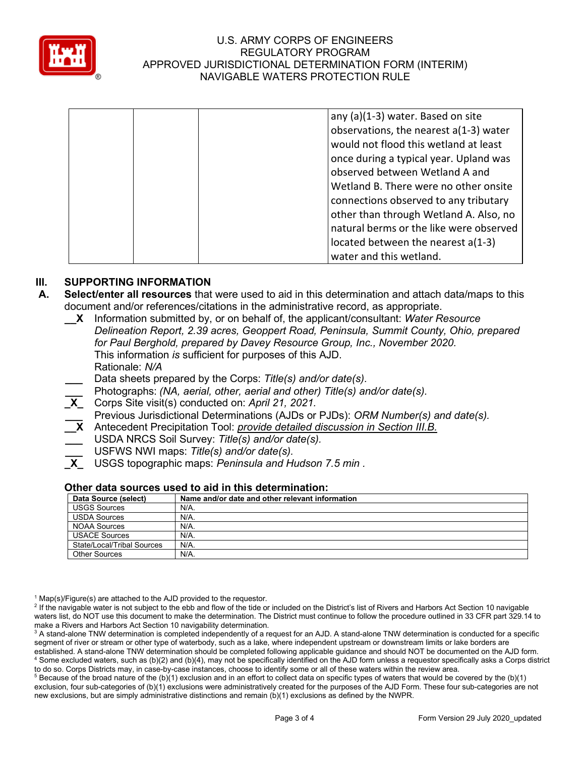

|  | any (a)(1-3) water. Based on site       |
|--|-----------------------------------------|
|  | observations, the nearest a(1-3) water  |
|  | would not flood this wetland at least   |
|  | once during a typical year. Upland was  |
|  | observed between Wetland A and          |
|  | Wetland B. There were no other onsite   |
|  | connections observed to any tributary   |
|  | other than through Wetland A. Also, no  |
|  | natural berms or the like were observed |
|  | located between the nearest a(1-3)      |
|  | water and this wetland.                 |

# **III. SUPPORTING INFORMATION**

- **A. Select/enter all resources** that were used to aid in this determination and attach data/maps to this document and/or references/citations in the administrative record, as appropriate.
	- **\_\_X** Information submitted by, or on behalf of, the applicant/consultant: *Water Resource Delineation Report, 2.39 acres, Geoppert Road, Peninsula, Summit County, Ohio, prepared for Paul Berghold, prepared by Davey Resource Group, Inc., November 2020.* This information *is* sufficient for purposes of this AJD. Rationale: *N/A*
	- **\_\_\_** Data sheets prepared by the Corps: *Title(s) and/or date(s).*
	- **\_\_\_** Photographs: *(NA, aerial, other, aerial and other) Title(s) and/or date(s).*
	- **\_X\_** Corps Site visit(s) conducted on: *April 21, 2021.*
	- **\_\_\_** Previous Jurisdictional Determinations (AJDs or PJDs): *ORM Number(s) and date(s).*
	- **\_\_X** Antecedent Precipitation Tool: *provide detailed discussion in Section III.B.*
	- **\_\_\_** USDA NRCS Soil Survey: *Title(s) and/or date(s).*
	- **\_\_\_** USFWS NWI maps: *Title(s) and/or date(s).*
	- **\_X\_** USGS topographic maps: *Peninsula and Hudson 7.5 min .*

### **Other data sources used to aid in this determination:**

| Data Source (select)       | Name and/or date and other relevant information |
|----------------------------|-------------------------------------------------|
| <b>USGS Sources</b>        | N/A.                                            |
| <b>USDA Sources</b>        | $N/A$ .                                         |
| <b>NOAA Sources</b>        | N/A.                                            |
| <b>USACE Sources</b>       | $N/A$ .                                         |
| State/Local/Tribal Sources | $N/A$ .                                         |
| Other Sources              | $N/A$ .                                         |

 $1$  Map(s)/Figure(s) are attached to the AJD provided to the requestor.

<sup>2</sup> If the navigable water is not subject to the ebb and flow of the tide or included on the District's list of Rivers and Harbors Act Section 10 navigable waters list, do NOT use this document to make the determination. The District must continue to follow the procedure outlined in 33 CFR part 329.14 to make a Rivers and Harbors Act Section 10 navigability determination.

<sup>3</sup> A stand-alone TNW determination is completed independently of a request for an AJD. A stand-alone TNW determination is conducted for a specific segment of river or stream or other type of waterbody, such as a lake, where independent upstream or downstream limits or lake borders are established. A stand-alone TNW determination should be completed following applicable guidance and should NOT be documented on the AJD form. <sup>4</sup> Some excluded waters, such as (b)(2) and (b)(4), may not be specifically identified on the AJD form unless a requestor specifically asks a Corps district to do so. Corps Districts may, in case-by-case instances, choose to identify some or all of these waters within the review area.

 $5$  Because of the broad nature of the (b)(1) exclusion and in an effort to collect data on specific types of waters that would be covered by the (b)(1) exclusion, four sub-categories of (b)(1) exclusions were administratively created for the purposes of the AJD Form. These four sub-categories are not new exclusions, but are simply administrative distinctions and remain (b)(1) exclusions as defined by the NWPR.